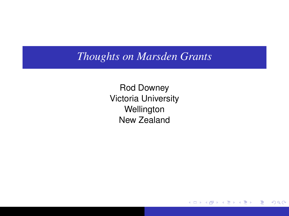## <span id="page-0-0"></span>*Thoughts on Marsden Grants*

Rod Downey Victoria University **Wellington** New Zealand

 $299$ 

重

画

(ロト (部) (理) (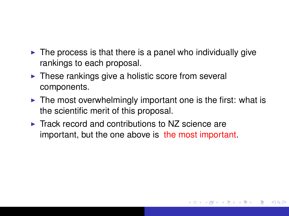- $\triangleright$  The process is that there is a panel who individually give rankings to each proposal.
- $\triangleright$  These rankings give a holistic score from several components.
- $\triangleright$  The most overwhelmingly important one is the first: what is the scientific merit of this proposal.

 $QQQ$ 

 $\triangleright$  Track record and contributions to NZ science are important, but the one above is the most important.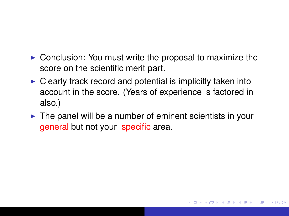- <span id="page-2-0"></span> $\triangleright$  Conclusion: You must write the proposal to maximize the score on the scientific merit part.
- $\triangleright$  Clearly track record and potential is implicitly taken into account in the score. (Years of experience is factored in also.)
- $\triangleright$  The panel will be a number of eminent scientists in your general but not your specific area.

 $QQQ$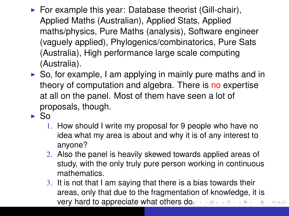- $\blacktriangleright$  For example this year: Database theorist (Gill-chair), Applied Maths (Australian), Applied Stats, Applied maths/physics, Pure Maths (analysis), Software engineer (vaguely applied), Phylogenics/combinatorics, Pure Sats (Australia), High performance large scale computing (Australia).
- $\triangleright$  So, for example, I am applying in mainly pure maths and in theory of computation and algebra. There is no expertise at all on the panel. Most of them have seen a lot of proposals, though.
- $\blacktriangleright$  So
	- 1. How should I write my proposal for 9 people who have no idea what my area is about and why it is of any interest to anyone?
	- 2. Also the panel is heavily skewed towards applied areas of study, with the only truly pure person working in continuous mathematics.
	- 3. It is not that I am saying that there is a bias towards their areas, only that due to the fragmentation of knowledge, it is very hard to appreciate what others [do.](#page-2-0)  $299$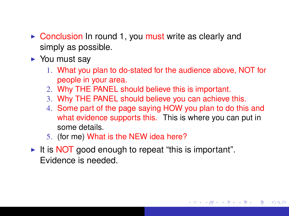- $\triangleright$  Conclusion In round 1, you must write as clearly and simply as possible.
- $\blacktriangleright$  You must sav
	- 1. What you plan to do-stated for the audience above, NOT for people in your area.
	- 2. Why THE PANEL should believe this is important.
	- 3. Why THE PANEL should believe you can achieve this.
	- 4. Some part of the page saying HOW you plan to do this and what evidence supports this. This is where you can put in some details.

K ロ ▶ K 御 ▶ K 唐 ▶ K 唐

 $QQQ$ 

- 5. (for me) What is the NEW idea here?
- It is NOT good enough to repeat "this is important". Evidence is needed.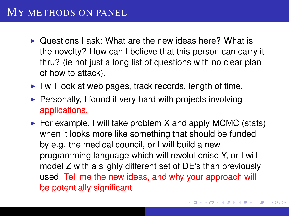## MY METHODS ON PANEL

- $\triangleright$  Questions Lask: What are the new ideas here? What is the novelty? How can I believe that this person can carry it thru? (ie not just a long list of questions with no clear plan of how to attack).
- $\blacktriangleright$  I will look at web pages, track records, length of time.
- $\triangleright$  Personally, I found it very hard with projects involving applications.
- $\triangleright$  For example, I will take problem X and apply MCMC (stats) when it looks more like something that should be funded by e.g. the medical council, or I will build a new programming language which will revolutionise Y, or I will model Z with a slighly different set of DE's than previously used. Tell me the new ideas, and why your approach will be potentially significant.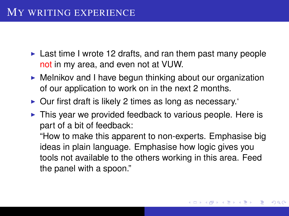- $\triangleright$  Last time I wrote 12 drafts, and ran them past many people not in my area, and even not at VUW.
- $\triangleright$  Melnikov and I have begun thinking about our organization of our application to work on in the next 2 months.
- $\triangleright$  Our first draft is likely 2 times as long as necessary.
- $\triangleright$  This year we provided feedback to various people. Here is part of a bit of feedback:

"How to make this apparent to non-experts. Emphasise big ideas in plain language. Emphasise how logic gives you tools not available to the others working in this area. Feed the panel with a spoon."

←ロト→ 伊ト→ モデト→

 $QQQ$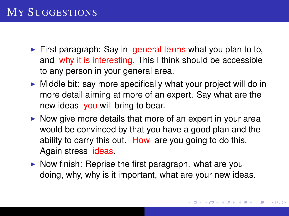- <span id="page-7-0"></span> $\triangleright$  First paragraph: Say in general terms what you plan to to, and why it is interesting. This I think should be accessible to any person in your general area.
- $\triangleright$  Middle bit: say more specifically what your project will do in more detail aiming at more of an expert. Say what are the new ideas you will bring to bear.
- $\triangleright$  Now give more details that more of an expert in your area would be convinced by that you have a good plan and the ability to carry this out. How are you going to do this. Again stress ideas.
- $\triangleright$  Now finish: Reprise the first paragraph. what are you doing, why, why is it important, what are your new ideas.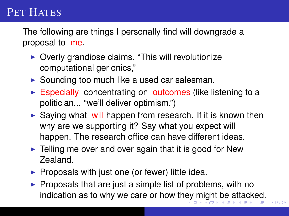## <span id="page-8-0"></span>PET HATES

The following are things I personally find will downgrade a proposal to me.

- $\triangleright$  Overly grandiose claims. "This will revolutionize computational gerionics,"
- $\triangleright$  Sounding too much like a used car salesman.
- $\triangleright$  Especially concentrating on outcomes (like listening to a politician... "we'll deliver optimism.")
- $\triangleright$  Saying what will happen from research. If it is known then why are we supporting it? Say what you expect will happen. The research office can have different ideas.
- $\blacktriangleright$  Telling me over and over again that it is good for New Zealand.
- $\triangleright$  Proposals with just one (or fewer) little idea.
- $\blacktriangleright$  Proposals that are just a simple list of problems, with no indication as to why we care or how th[ey](#page-7-0) [m](#page-9-0)[ig](#page-7-0)[h](#page-8-0)[t](#page-9-0) [be](#page-0-0) [a](#page-13-0)[tta](#page-0-0)[ck](#page-13-0)[e](#page-0-0)[d.](#page-13-0)

 $290$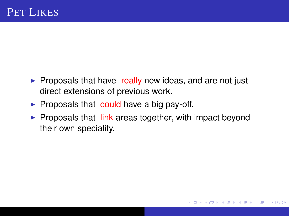- <span id="page-9-0"></span> $\triangleright$  Proposals that have really new ideas, and are not just direct extensions of previous work.
- $\triangleright$  Proposals that could have a big pay-off.
- $\triangleright$  Proposals that  $\overline{\mathsf{link}}$  areas together, with impact beyond their own speciality.

 $\left\{ \bigoplus_k k \right\}$  and  $\left\{ \bigoplus_k k \right\}$  and  $\left\{ \bigoplus_k k \right\}$ 

 $290$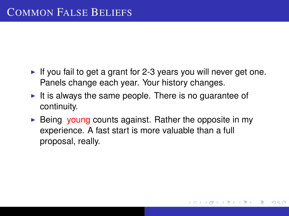- If you fail to get a grant for 2-3 years you will never get one. Panels change each year. Your history changes.
- It is always the same people. There is no guarantee of continuity.
- $\triangleright$  Being young counts against. Rather the opposite in my experience. A fast start is more valuable than a full proposal, really.

K 倒 → K ミ → K

 $QQ$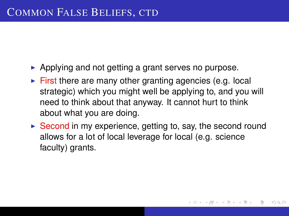- $\triangleright$  Applying and not getting a grant serves no purpose.
- $\blacktriangleright$  First there are many other granting agencies (e.g. local strategic) which you might well be applying to, and you will need to think about that anyway. It cannot hurt to think about what you are doing.
- $\triangleright$  Second in my experience, getting to, say, the second round allows for a lot of local leverage for local (e.g. science faculty) grants.

**K 御 ≯ K 唐 ⊁ K** 

 $QQ$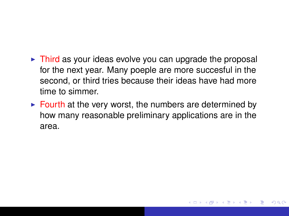- $\triangleright$  Third as your ideas evolve you can upgrade the proposal for the next year. Many poeple are more succesful in the second, or third tries because their ideas have had more time to simmer.
- $\triangleright$  Fourth at the very worst, the numbers are determined by how many reasonable preliminary applications are in the area.

 $QQ$